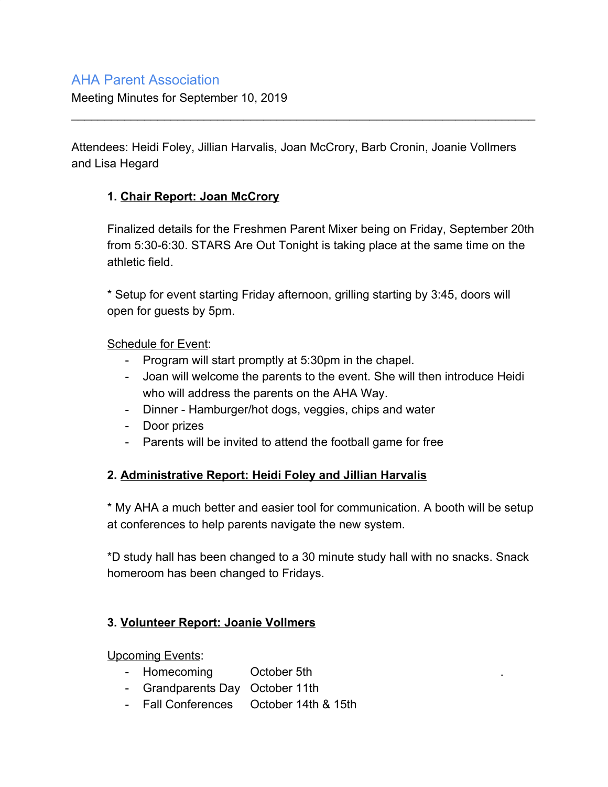# AHA Parent Association

Meeting Minutes for September 10, 2019

Attendees: Heidi Foley, Jillian Harvalis, Joan McCrory, Barb Cronin, Joanie Vollmers and Lisa Hegard

\_\_\_\_\_\_\_\_\_\_\_\_\_\_\_\_\_\_\_\_\_\_\_\_\_\_\_\_\_\_\_\_\_\_\_\_\_\_\_\_\_\_\_\_\_\_\_\_\_\_\_\_\_\_\_\_\_\_\_\_\_\_\_\_\_\_\_\_\_\_

## **1. Chair Report: Joan McCrory**

Finalized details for the Freshmen Parent Mixer being on Friday, September 20th from 5:30-6:30. STARS Are Out Tonight is taking place at the same time on the athletic field.

\* Setup for event starting Friday afternoon, grilling starting by 3:45, doors will open for guests by 5pm.

### Schedule for Event:

- Program will start promptly at 5:30pm in the chapel.
- Joan will welcome the parents to the event. She will then introduce Heidi who will address the parents on the AHA Way.
- Dinner Hamburger/hot dogs, veggies, chips and water
- Door prizes
- Parents will be invited to attend the football game for free

## **2. Administrative Report: Heidi Foley and Jillian Harvalis**

\* My AHA a much better and easier tool for communication. A booth will be setup at conferences to help parents navigate the new system.

\*D study hall has been changed to a 30 minute study hall with no snacks. Snack homeroom has been changed to Fridays.

## **3. Volunteer Report: Joanie Vollmers**

Upcoming Events:

- Homecoming October 5th
- Grandparents Day October 11th
- Fall Conferences October 14th & 15th